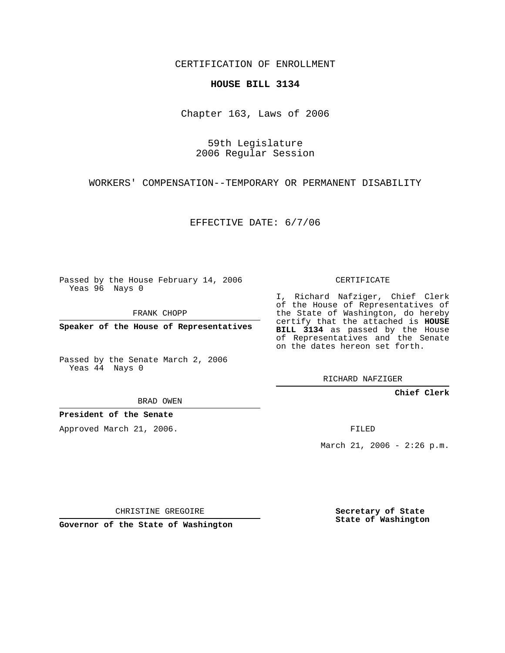CERTIFICATION OF ENROLLMENT

## **HOUSE BILL 3134**

Chapter 163, Laws of 2006

59th Legislature 2006 Regular Session

WORKERS' COMPENSATION--TEMPORARY OR PERMANENT DISABILITY

EFFECTIVE DATE: 6/7/06

Passed by the House February 14, 2006 Yeas 96 Nays 0

FRANK CHOPP

**Speaker of the House of Representatives**

Passed by the Senate March 2, 2006 Yeas 44 Nays 0

RICHARD NAFZIGER

**Chief Clerk**

BRAD OWEN

**President of the Senate**

Approved March 21, 2006.

FILED

March 21, 2006 -  $2:26$  p.m.

CHRISTINE GREGOIRE

**Governor of the State of Washington**

**Secretary of State State of Washington**

## CERTIFICATE

I, Richard Nafziger, Chief Clerk of the House of Representatives of the State of Washington, do hereby certify that the attached is **HOUSE BILL 3134** as passed by the House of Representatives and the Senate on the dates hereon set forth.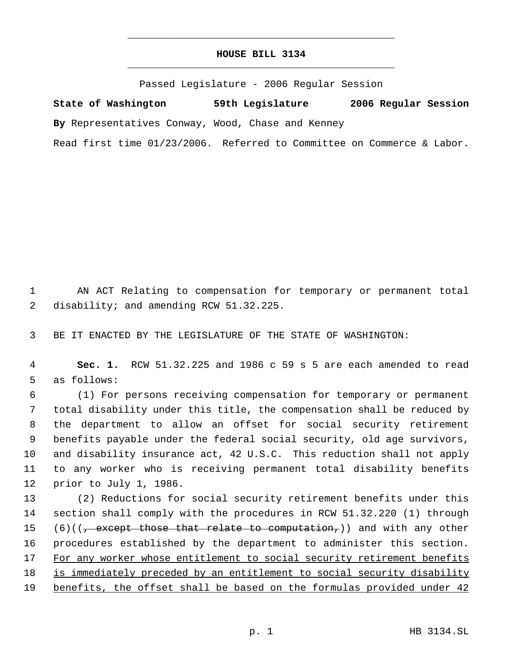## **HOUSE BILL 3134** \_\_\_\_\_\_\_\_\_\_\_\_\_\_\_\_\_\_\_\_\_\_\_\_\_\_\_\_\_\_\_\_\_\_\_\_\_\_\_\_\_\_\_\_\_

\_\_\_\_\_\_\_\_\_\_\_\_\_\_\_\_\_\_\_\_\_\_\_\_\_\_\_\_\_\_\_\_\_\_\_\_\_\_\_\_\_\_\_\_\_

Passed Legislature - 2006 Regular Session

**State of Washington 59th Legislature 2006 Regular Session By** Representatives Conway, Wood, Chase and Kenney Read first time 01/23/2006. Referred to Committee on Commerce & Labor.

 1 AN ACT Relating to compensation for temporary or permanent total 2 disability; and amending RCW 51.32.225.

3 BE IT ENACTED BY THE LEGISLATURE OF THE STATE OF WASHINGTON:

 4 **Sec. 1.** RCW 51.32.225 and 1986 c 59 s 5 are each amended to read 5 as follows:

 (1) For persons receiving compensation for temporary or permanent total disability under this title, the compensation shall be reduced by the department to allow an offset for social security retirement benefits payable under the federal social security, old age survivors, and disability insurance act, 42 U.S.C. This reduction shall not apply to any worker who is receiving permanent total disability benefits prior to July 1, 1986.

13 (2) Reductions for social security retirement benefits under this 14 section shall comply with the procedures in RCW 51.32.220 (1) through 15 (6)(( $\frac{1}{7}$  except those that relate to computation,)) and with any other 16 procedures established by the department to administer this section. 17 For any worker whose entitlement to social security retirement benefits 18 is immediately preceded by an entitlement to social security disability 19 benefits, the offset shall be based on the formulas provided under 42